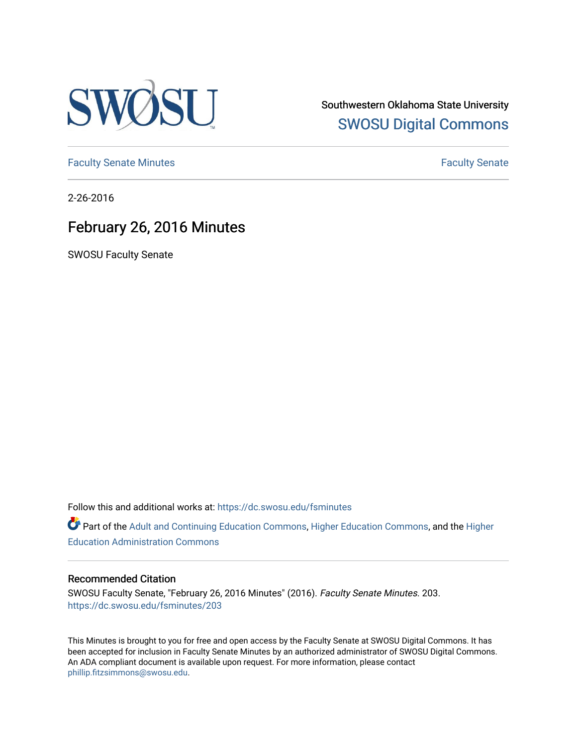

Southwestern Oklahoma State University [SWOSU Digital Commons](https://dc.swosu.edu/) 

[Faculty Senate Minutes](https://dc.swosu.edu/fsminutes) **Faculty** Senate Minutes

2-26-2016

# February 26, 2016 Minutes

SWOSU Faculty Senate

Follow this and additional works at: [https://dc.swosu.edu/fsminutes](https://dc.swosu.edu/fsminutes?utm_source=dc.swosu.edu%2Ffsminutes%2F203&utm_medium=PDF&utm_campaign=PDFCoverPages) 

Part of the [Adult and Continuing Education Commons,](http://network.bepress.com/hgg/discipline/1375?utm_source=dc.swosu.edu%2Ffsminutes%2F203&utm_medium=PDF&utm_campaign=PDFCoverPages) [Higher Education Commons,](http://network.bepress.com/hgg/discipline/1245?utm_source=dc.swosu.edu%2Ffsminutes%2F203&utm_medium=PDF&utm_campaign=PDFCoverPages) and the [Higher](http://network.bepress.com/hgg/discipline/791?utm_source=dc.swosu.edu%2Ffsminutes%2F203&utm_medium=PDF&utm_campaign=PDFCoverPages) [Education Administration Commons](http://network.bepress.com/hgg/discipline/791?utm_source=dc.swosu.edu%2Ffsminutes%2F203&utm_medium=PDF&utm_campaign=PDFCoverPages) 

#### Recommended Citation

SWOSU Faculty Senate, "February 26, 2016 Minutes" (2016). Faculty Senate Minutes. 203. [https://dc.swosu.edu/fsminutes/203](https://dc.swosu.edu/fsminutes/203?utm_source=dc.swosu.edu%2Ffsminutes%2F203&utm_medium=PDF&utm_campaign=PDFCoverPages) 

This Minutes is brought to you for free and open access by the Faculty Senate at SWOSU Digital Commons. It has been accepted for inclusion in Faculty Senate Minutes by an authorized administrator of SWOSU Digital Commons. An ADA compliant document is available upon request. For more information, please contact [phillip.fitzsimmons@swosu.edu](mailto:phillip.fitzsimmons@swosu.edu).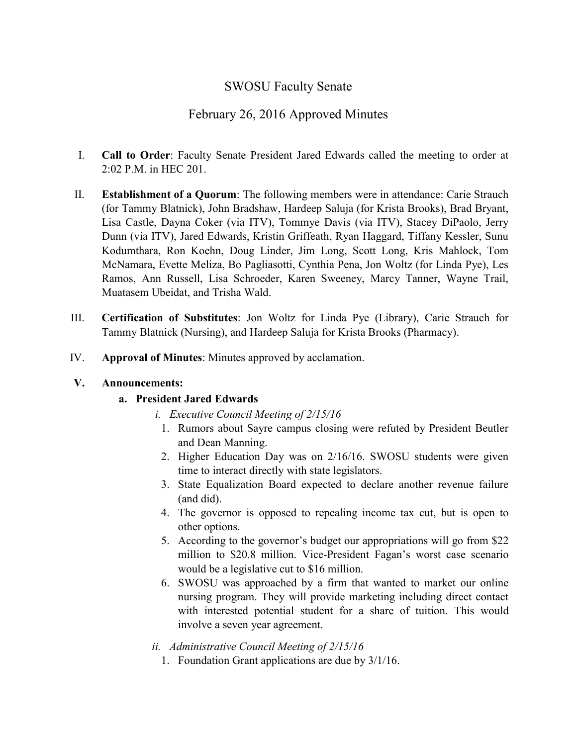## SWOSU Faculty Senate

### February 26, 2016 Approved Minutes

- I. **Call to Order**: Faculty Senate President Jared Edwards called the meeting to order at 2:02 P.M. in HEC 201.
- II. **Establishment of a Quorum**: The following members were in attendance: Carie Strauch (for Tammy Blatnick), John Bradshaw, Hardeep Saluja (for Krista Brooks), Brad Bryant, Lisa Castle, Dayna Coker (via ITV), Tommye Davis (via ITV), Stacey DiPaolo, Jerry Dunn (via ITV), Jared Edwards, Kristin Griffeath, Ryan Haggard, Tiffany Kessler, Sunu Kodumthara, Ron Koehn, Doug Linder, Jim Long, Scott Long, Kris Mahlock, Tom McNamara, Evette Meliza, Bo Pagliasotti, Cynthia Pena, Jon Woltz (for Linda Pye), Les Ramos, Ann Russell, Lisa Schroeder, Karen Sweeney, Marcy Tanner, Wayne Trail, Muatasem Ubeidat, and Trisha Wald.
- III. **Certification of Substitutes**: Jon Woltz for Linda Pye (Library), Carie Strauch for Tammy Blatnick (Nursing), and Hardeep Saluja for Krista Brooks (Pharmacy).
- IV. **Approval of Minutes**: Minutes approved by acclamation.

#### **V. Announcements:**

### **a. President Jared Edwards**

- *i. Executive Council Meeting of 2/15/16*
	- 1. Rumors about Sayre campus closing were refuted by President Beutler and Dean Manning.
	- 2. Higher Education Day was on 2/16/16. SWOSU students were given time to interact directly with state legislators.
	- 3. State Equalization Board expected to declare another revenue failure (and did).
	- 4. The governor is opposed to repealing income tax cut, but is open to other options.
	- 5. According to the governor's budget our appropriations will go from \$22 million to \$20.8 million. Vice-President Fagan's worst case scenario would be a legislative cut to \$16 million.
	- 6. SWOSU was approached by a firm that wanted to market our online nursing program. They will provide marketing including direct contact with interested potential student for a share of tuition. This would involve a seven year agreement.
- *ii. Administrative Council Meeting of 2/15/16*
	- 1. Foundation Grant applications are due by 3/1/16.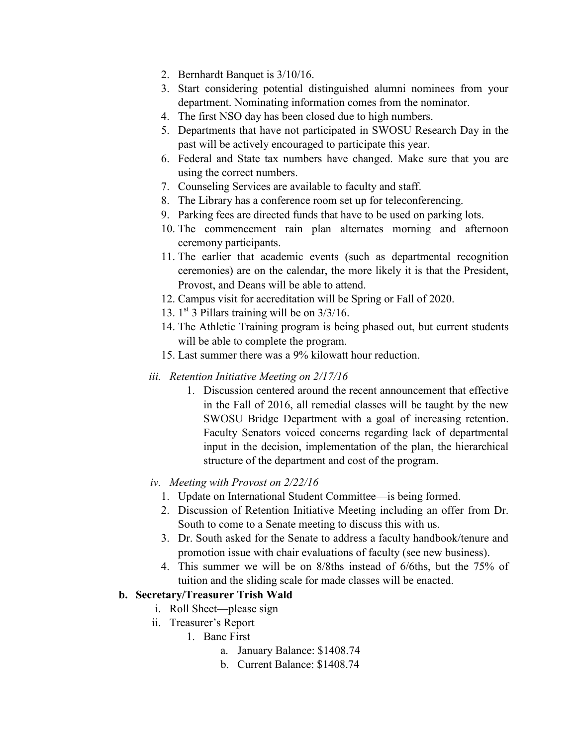- 2. Bernhardt Banquet is 3/10/16.
- 3. Start considering potential distinguished alumni nominees from your department. Nominating information comes from the nominator.
- 4. The first NSO day has been closed due to high numbers.
- 5. Departments that have not participated in SWOSU Research Day in the past will be actively encouraged to participate this year.
- 6. Federal and State tax numbers have changed. Make sure that you are using the correct numbers.
- 7. Counseling Services are available to faculty and staff.
- 8. The Library has a conference room set up for teleconferencing.
- 9. Parking fees are directed funds that have to be used on parking lots.
- 10. The commencement rain plan alternates morning and afternoon ceremony participants.
- 11. The earlier that academic events (such as departmental recognition ceremonies) are on the calendar, the more likely it is that the President, Provost, and Deans will be able to attend.
- 12. Campus visit for accreditation will be Spring or Fall of 2020.
- 13. 1 st 3 Pillars training will be on 3/3/16.
- 14. The Athletic Training program is being phased out, but current students will be able to complete the program.
- 15. Last summer there was a 9% kilowatt hour reduction.
- *iii. Retention Initiative Meeting on 2/17/16*
	- 1. Discussion centered around the recent announcement that effective in the Fall of 2016, all remedial classes will be taught by the new SWOSU Bridge Department with a goal of increasing retention. Faculty Senators voiced concerns regarding lack of departmental input in the decision, implementation of the plan, the hierarchical structure of the department and cost of the program.
- *iv. Meeting with Provost on 2/22/16*
	- 1. Update on International Student Committee—is being formed.
	- 2. Discussion of Retention Initiative Meeting including an offer from Dr. South to come to a Senate meeting to discuss this with us.
	- 3. Dr. South asked for the Senate to address a faculty handbook/tenure and promotion issue with chair evaluations of faculty (see new business).
	- 4. This summer we will be on 8/8ths instead of 6/6ths, but the 75% of tuition and the sliding scale for made classes will be enacted.

### **b. Secretary/Treasurer Trish Wald**

- i. Roll Sheet—please sign
- ii. Treasurer's Report
	- 1. Banc First
		- a. January Balance: \$1408.74
		- b. Current Balance: \$1408.74